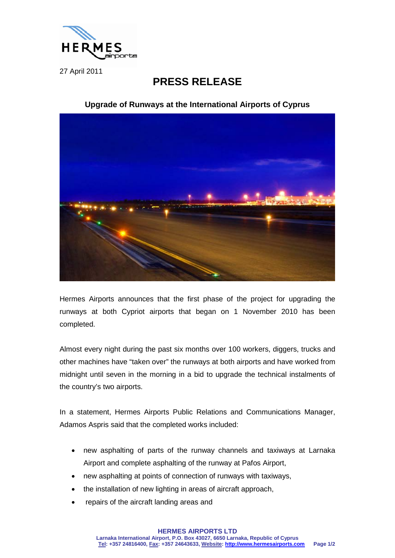

27 April 2011

## **PRESS RELEASE**

**Upgrade of Runways at the International Airports of Cyprus**



Hermes Airports announces that the first phase of the project for upgrading the runways at both Cypriot airports that began on 1 November 2010 has been completed.

Almost every night during the past six months over 100 workers, diggers, trucks and other machines have "taken over" the runways at both airports and have worked from midnight until seven in the morning in a bid to upgrade the technical instalments of the country's two airports.

In a statement, Hermes Airports Public Relations and Communications Manager, Adamos Aspris said that the completed works included:

- new asphalting of parts of the runway channels and taxiways at Larnaka Airport and complete asphalting of the runway at Pafos Airport,
- new asphalting at points of connection of runways with taxiways,
- the installation of new lighting in areas of aircraft approach,
- repairs of the aircraft landing areas and